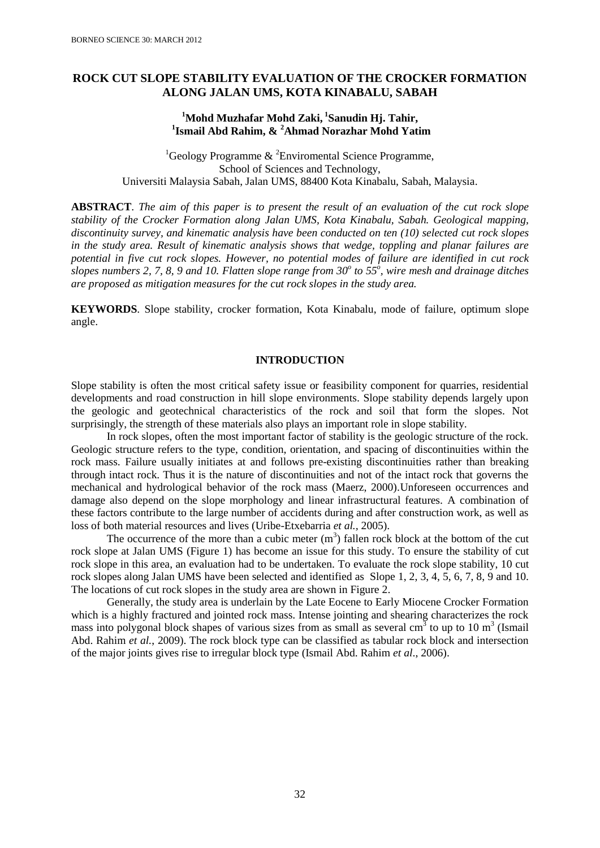# **ROCK CUT SLOPE STABILITY EVALUATION OF THE CROCKER FORMATION ALONG JALAN UMS, KOTA KINABALU, SABAH**

## **<sup>1</sup>Mohd Muzhafar Mohd Zaki, <sup>1</sup> Sanudin Hj. Tahir, 1 Ismail Abd Rahim, & <sup>2</sup>Ahmad Norazhar Mohd Yatim**

<sup>1</sup>Geology Programme  $\&$  <sup>2</sup>Enviromental Science Programme, School of Sciences and Technology, Universiti Malaysia Sabah, Jalan UMS, 88400 Kota Kinabalu, Sabah, Malaysia.

**ABSTRACT**. *The aim of this paper is to present the result of an evaluation of the cut rock slope stability of the Crocker Formation along Jalan UMS, Kota Kinabalu, Sabah. Geological mapping, discontinuity survey, and kinematic analysis have been conducted on ten (10) selected cut rock slopes in the study area. Result of kinematic analysis shows that wedge, toppling and planar failures are potential in five cut rock slopes. However, no potential modes of failure are identified in cut rock slopes numbers 2, 7, 8, 9 and 10. Flatten slope range from 30<sup>o</sup> to 55<sup>o</sup> , wire mesh and drainage ditches are proposed as mitigation measures for the cut rock slopes in the study area.*

**KEYWORDS**. Slope stability, crocker formation, Kota Kinabalu, mode of failure, optimum slope angle.

## **INTRODUCTION**

Slope stability is often the most critical safety issue or feasibility component for quarries, residential developments and road construction in hill slope environments. Slope stability depends largely upon the geologic and geotechnical characteristics of the rock and soil that form the slopes. Not surprisingly, the strength of these materials also plays an important role in slope stability.

In rock slopes, often the most important factor of stability is the geologic structure of the rock. Geologic structure refers to the type, condition, orientation, and spacing of discontinuities within the rock mass. Failure usually initiates at and follows pre-existing discontinuities rather than breaking through intact rock. Thus it is the nature of discontinuities and not of the intact rock that governs the mechanical and hydrological behavior of the rock mass (Maerz, 2000).Unforeseen occurrences and damage also depend on the slope morphology and linear infrastructural features. A combination of these factors contribute to the large number of accidents during and after construction work, as well as loss of both material resources and lives (Uribe-Etxebarria *et al.,* 2005).

The occurrence of the more than a cubic meter  $(m<sup>3</sup>)$  fallen rock block at the bottom of the cut rock slope at Jalan UMS (Figure 1) has become an issue for this study. To ensure the stability of cut rock slope in this area, an evaluation had to be undertaken. To evaluate the rock slope stability, 10 cut rock slopes along Jalan UMS have been selected and identified as Slope 1, 2, 3, 4, 5, 6, 7, 8, 9 and 10. The locations of cut rock slopes in the study area are shown in Figure 2.

Generally, the study area is underlain by the Late Eocene to Early Miocene Crocker Formation which is a highly fractured and jointed rock mass. Intense jointing and shearing characterizes the rock mass into polygonal block shapes of various sizes from as small as several  $cm<sup>3</sup>$  to up to 10 m<sup>3</sup> (Ismail Abd. Rahim *et al.*, 2009). The rock block type can be classified as tabular rock block and intersection of the major joints gives rise to irregular block type (Ismail Abd. Rahim *et al*., 2006).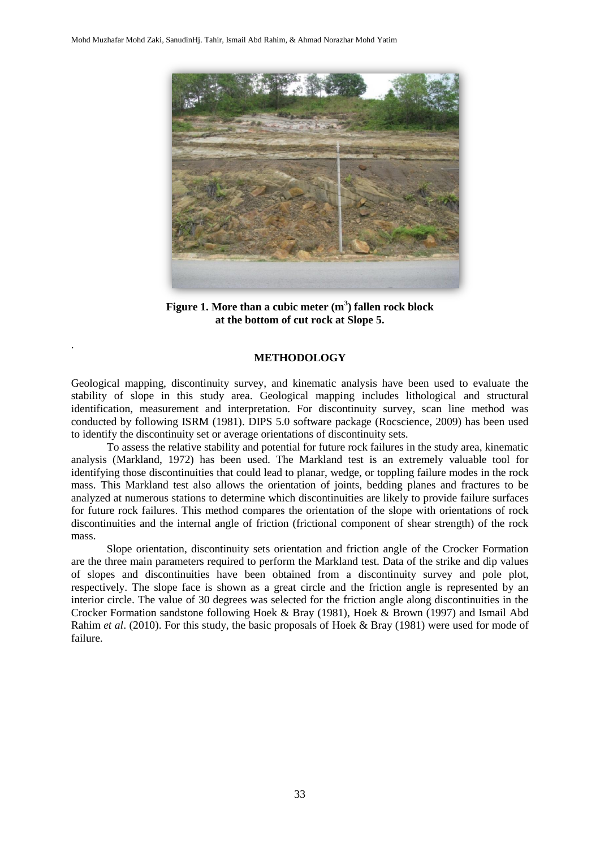.



**Figure 1. More than a cubic meter (m<sup>3</sup> ) fallen rock block at the bottom of cut rock at Slope 5.**

#### **METHODOLOGY**

Geological mapping, discontinuity survey, and kinematic analysis have been used to evaluate the stability of slope in this study area. Geological mapping includes lithological and structural identification, measurement and interpretation. For discontinuity survey, scan line method was conducted by following ISRM (1981). DIPS 5.0 software package (Rocscience, 2009) has been used to identify the discontinuity set or average orientations of discontinuity sets.

To assess the relative stability and potential for future rock failures in the study area, kinematic analysis (Markland, 1972) has been used. The Markland test is an extremely valuable tool for identifying those discontinuities that could lead to planar, wedge, or toppling failure modes in the rock mass. This Markland test also allows the orientation of joints, bedding planes and fractures to be analyzed at numerous stations to determine which discontinuities are likely to provide failure surfaces for future rock failures. This method compares the orientation of the slope with orientations of rock discontinuities and the internal angle of friction (frictional component of shear strength) of the rock mass.

Slope orientation, discontinuity sets orientation and friction angle of the Crocker Formation are the three main parameters required to perform the Markland test. Data of the strike and dip values of slopes and discontinuities have been obtained from a discontinuity survey and pole plot, respectively. The slope face is shown as a great circle and the friction angle is represented by an interior circle. The value of 30 degrees was selected for the friction angle along discontinuities in the Crocker Formation sandstone following Hoek & Bray (1981), Hoek & Brown (1997) and Ismail Abd Rahim *et al*. (2010). For this study, the basic proposals of Hoek & Bray (1981) were used for mode of failure.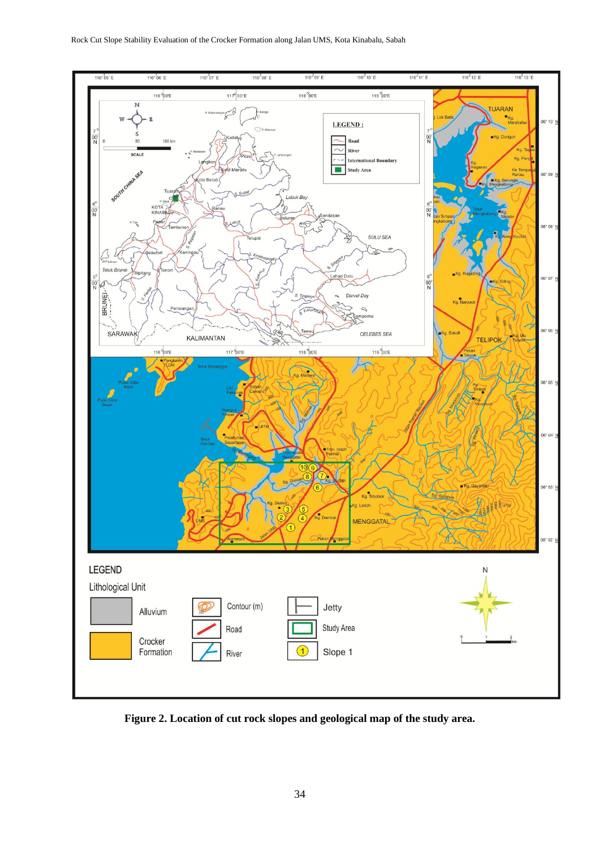

**Figure 2. Location of cut rock slopes and geological map of the study area.**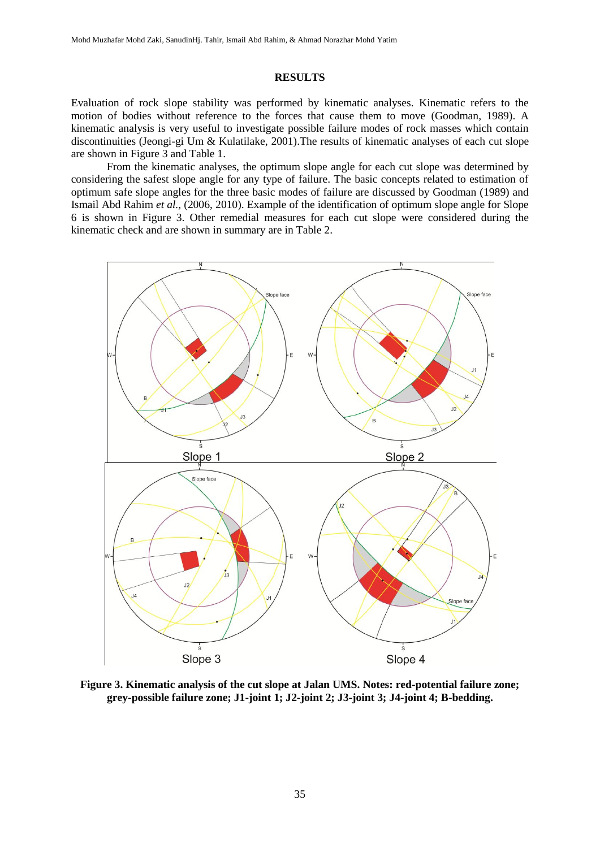## **RESULTS**

Evaluation of rock slope stability was performed by kinematic analyses. Kinematic refers to the motion of bodies without reference to the forces that cause them to move (Goodman, 1989). A kinematic analysis is very useful to investigate possible failure modes of rock masses which contain discontinuities (Jeongi-gi Um & Kulatilake, 2001).The results of kinematic analyses of each cut slope are shown in Figure 3 and Table 1.

From the kinematic analyses, the optimum slope angle for each cut slope was determined by considering the safest slope angle for any type of failure. The basic concepts related to estimation of optimum safe slope angles for the three basic modes of failure are discussed by Goodman (1989) and Ismail Abd Rahim *et al.,* (2006, 2010). Example of the identification of optimum slope angle for Slope 6 is shown in Figure 3. Other remedial measures for each cut slope were considered during the kinematic check and are shown in summary are in Table 2.



**Figure 3. Kinematic analysis of the cut slope at Jalan UMS. Notes: red-potential failure zone; grey-possible failure zone; J1-joint 1; J2-joint 2; J3-joint 3; J4-joint 4; B-bedding.**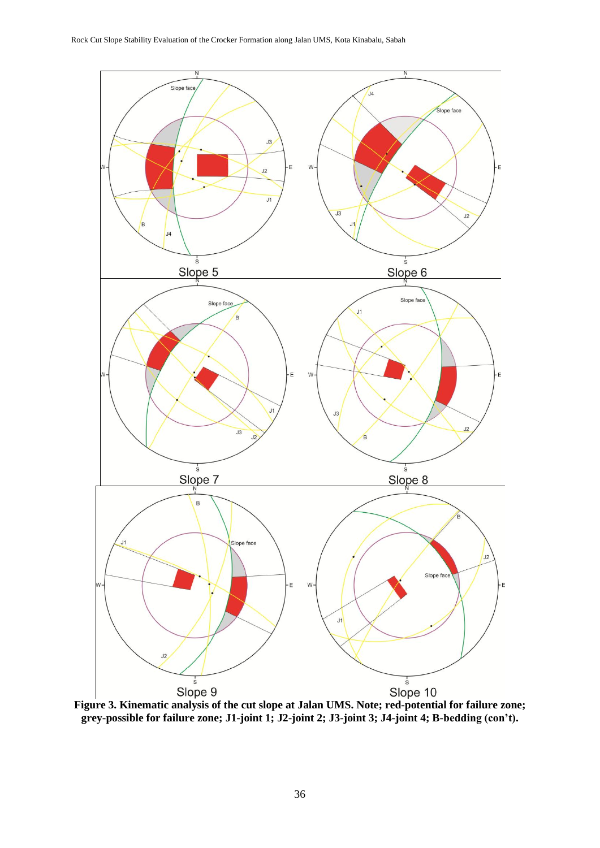

**grey-possible for failure zone; J1-joint 1; J2-joint 2; J3-joint 3; J4-joint 4; B-bedding (con't).**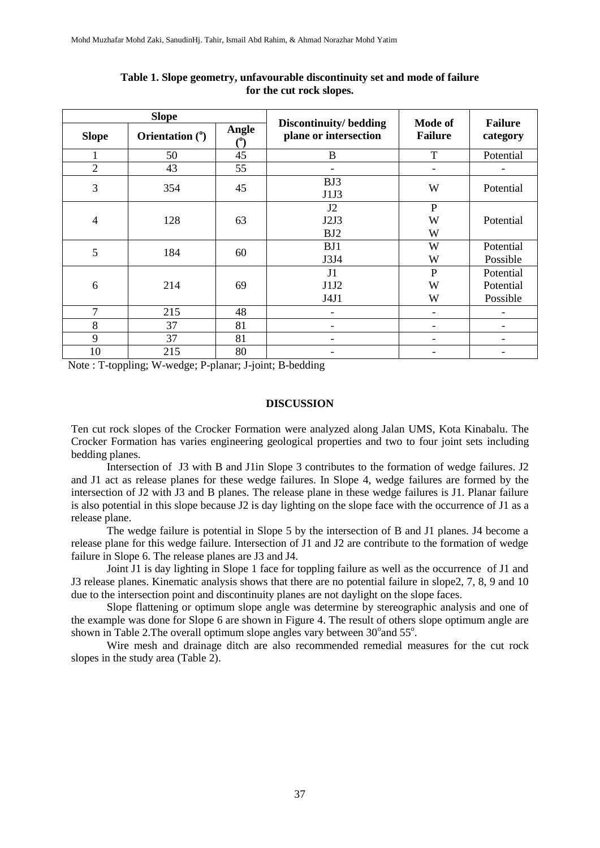|                | <b>Slope</b>    |       |                                                |                              |                            |  |
|----------------|-----------------|-------|------------------------------------------------|------------------------------|----------------------------|--|
| <b>Slope</b>   | Orientation (°) | Angle | Discontinuity/bedding<br>plane or intersection | Mode of<br><b>Failure</b>    | <b>Failure</b><br>category |  |
|                | 50              | 45    | B                                              | T                            | Potential                  |  |
| $\overline{2}$ | 43              | 55    |                                                | $\qquad \qquad \blacksquare$ |                            |  |
| 3              | 354             | 45    | BJ3<br>J1J3                                    | W                            | Potential                  |  |
|                | 128             | 63    | J2                                             | ${\bf P}$                    |                            |  |
| $\overline{4}$ |                 |       | J2J3                                           | W                            | Potential                  |  |
|                |                 |       | BJ2                                            | W                            |                            |  |
| 5              | 184             | 60    | BJ1                                            | W                            | Potential                  |  |
|                |                 |       | J3J4                                           | W                            | Possible                   |  |
|                |                 |       | J1                                             | $\mathbf P$                  | Potential                  |  |
| 6              | 214             | 69    | J1J2                                           | W                            | Potential                  |  |
|                |                 |       | J4J1                                           | W                            | Possible                   |  |
| 7              | 215             | 48    |                                                | $\qquad \qquad \blacksquare$ |                            |  |
| 8              | 37              | 81    |                                                | $\overline{\phantom{0}}$     |                            |  |
| 9              | 37              | 81    |                                                | $\overline{\phantom{0}}$     |                            |  |
| 10             | 215             | 80    |                                                | -                            |                            |  |

**Table 1. Slope geometry, unfavourable discontinuity set and mode of failure for the cut rock slopes.**

Note : T-toppling; W-wedge; P-planar; J-joint; B-bedding

## **DISCUSSION**

Ten cut rock slopes of the Crocker Formation were analyzed along Jalan UMS, Kota Kinabalu. The Crocker Formation has varies engineering geological properties and two to four joint sets including bedding planes.

Intersection of J3 with B and J1in Slope 3 contributes to the formation of wedge failures. J2 and J1 act as release planes for these wedge failures. In Slope 4, wedge failures are formed by the intersection of J2 with J3 and B planes. The release plane in these wedge failures is J1. Planar failure is also potential in this slope because J2 is day lighting on the slope face with the occurrence of J1 as a release plane.

The wedge failure is potential in Slope 5 by the intersection of B and J1 planes. J4 become a release plane for this wedge failure. Intersection of J1 and J2 are contribute to the formation of wedge failure in Slope 6. The release planes are J3 and J4.

Joint J1 is day lighting in Slope 1 face for toppling failure as well as the occurrence of J1 and J3 release planes. Kinematic analysis shows that there are no potential failure in slope 2, 7, 8, 9 and 10 due to the intersection point and discontinuity planes are not daylight on the slope faces.

Slope flattening or optimum slope angle was determine by stereographic analysis and one of the example was done for Slope 6 are shown in Figure 4. The result of others slope optimum angle are shown in Table 2. The overall optimum slope angles vary between  $30^{\circ}$  and  $55^{\circ}$ .

Wire mesh and drainage ditch are also recommended remedial measures for the cut rock slopes in the study area (Table 2).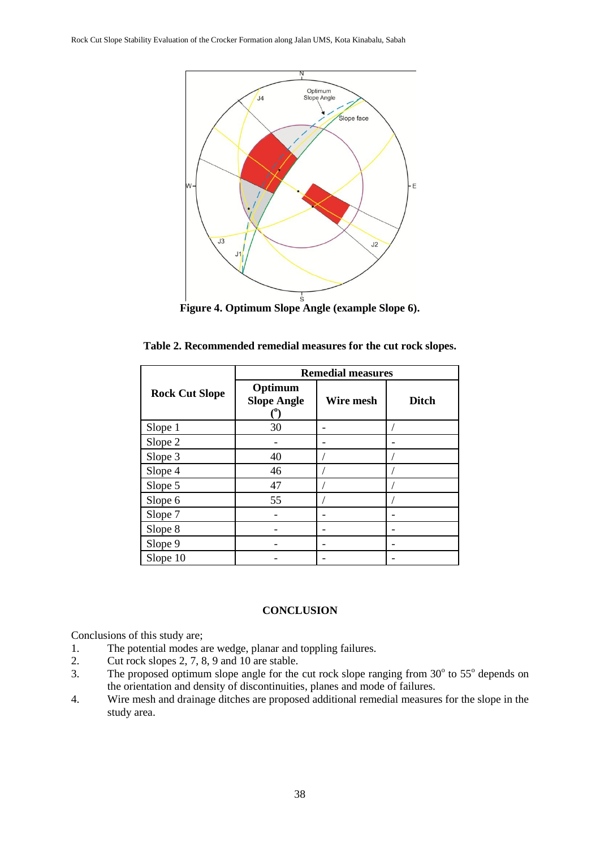![](_page_6_Figure_1.jpeg)

| Table 2. Recommended remedial measures for the cut rock slopes. |  |  |  |  |  |  |  |
|-----------------------------------------------------------------|--|--|--|--|--|--|--|
|-----------------------------------------------------------------|--|--|--|--|--|--|--|

|                       | <b>Remedial measures</b>      |           |              |  |  |  |
|-----------------------|-------------------------------|-----------|--------------|--|--|--|
| <b>Rock Cut Slope</b> | Optimum<br><b>Slope Angle</b> | Wire mesh | <b>Ditch</b> |  |  |  |
| Slope 1               | 30                            |           |              |  |  |  |
| Slope 2               |                               |           |              |  |  |  |
| Slope 3               | 40                            |           |              |  |  |  |
| Slope 4               | 46                            |           |              |  |  |  |
| Slope 5               | 47                            |           |              |  |  |  |
| Slope 6               | 55                            |           |              |  |  |  |
| Slope 7               |                               |           |              |  |  |  |
| Slope 8               |                               |           |              |  |  |  |
| Slope 9               |                               |           |              |  |  |  |
| Slope 10              |                               |           |              |  |  |  |

#### **CONCLUSION**

Conclusions of this study are;

- 1. The potential modes are wedge, planar and toppling failures.<br>2. Cut rock slopes 2, 7, 8, 9 and 10 are stable.
- 2. Cut rock slopes 2, 7, 8, 9 and 10 are stable.
- 3. The proposed optimum slope angle for the cut rock slope ranging from  $30^{\circ}$  to  $55^{\circ}$  depends on the orientation and density of discontinuities, planes and mode of failures.
- 4. Wire mesh and drainage ditches are proposed additional remedial measures for the slope in the study area.